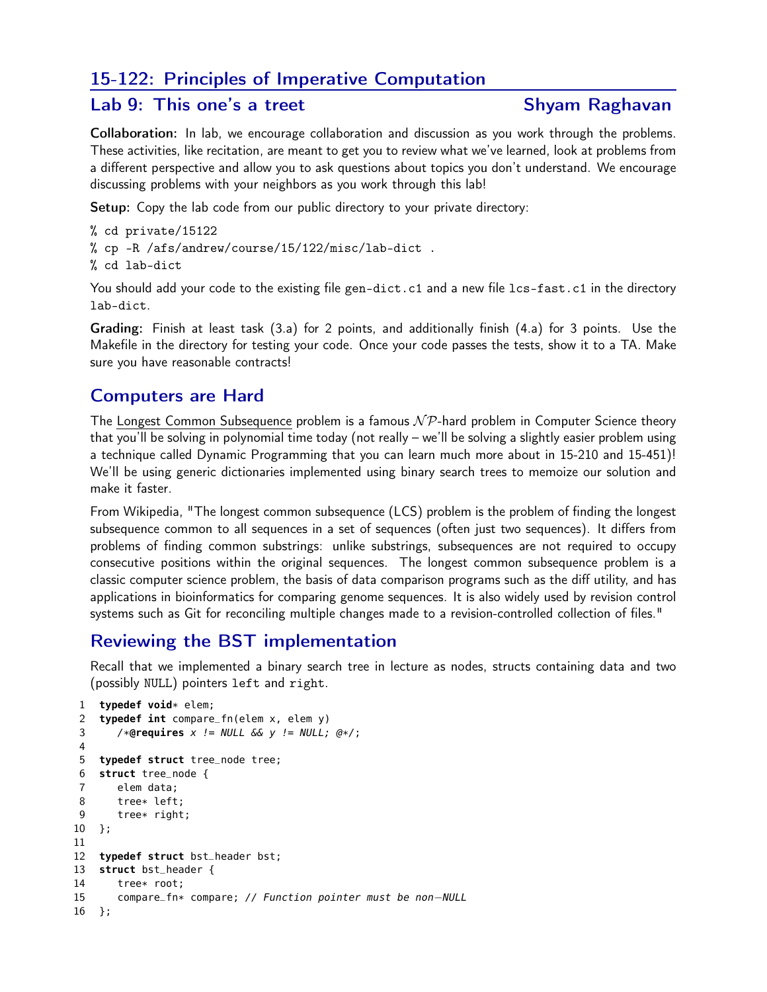### 15-122: Principles of Imperative Computation

#### Lab 9: This one's a treet Shyam Raghavan

Collaboration: In lab, we encourage collaboration and discussion as you work through the problems. These activities, like recitation, are meant to get you to review what we've learned, look at problems from a different perspective and allow you to ask questions about topics you don't understand. We encourage discussing problems with your neighbors as you work through this lab!

Setup: Copy the lab code from our public directory to your private directory:

- % cd private/15122
- % cp -R /afs/andrew/course/15/122/misc/lab-dict .
- % cd lab-dict

You should add your code to the existing file gen-dict.c1 and a new file lcs-fast.c1 in the directory lab-dict.

Grading: Finish at least task (3.a) for 2 points, and additionally finish (4.a) for 3 points. Use the Makefile in the directory for testing your code. Once your code passes the tests, show it to a TA. Make sure you have reasonable contracts!

#### Computers are Hard

The Longest Common Subsequence problem is a famous  $N\mathcal{P}$ -hard problem in Computer Science theory that you'll be solving in polynomial time today (not really – we'll be solving a slightly easier problem using a technique called Dynamic Programming that you can learn much more about in 15-210 and 15-451)! We'll be using generic dictionaries implemented using binary search trees to memoize our solution and make it faster.

From Wikipedia, "The longest common subsequence (LCS) problem is the problem of finding the longest subsequence common to all sequences in a set of sequences (often just two sequences). It differs from problems of finding common substrings: unlike substrings, subsequences are not required to occupy consecutive positions within the original sequences. The longest common subsequence problem is a classic computer science problem, the basis of data comparison programs such as the diff utility, and has applications in bioinformatics for comparing genome sequences. It is also widely used by revision control systems such as Git for reconciling multiple changes made to a revision-controlled collection of files."

#### Reviewing the BST implementation

Recall that we implemented a binary search tree in lecture as nodes, structs containing data and two (possibly NULL) pointers left and right.

```
1 typedef void* elem;<br>2 typedef int compare
    2 typedef int compare_fn(elem x, elem y)
3 /*@requires x != NULL && y != NULL; @*/;
4
5 typedef struct tree_node tree;
6 struct tree_node {
7 elem data;
8 tree* left;
9 tree* right;
10 };
11
12 typedef struct bst_header bst;
13 struct bst_header {
14 tree* root;<br>15 compare_fn*
       15 compare_fn* compare; // Function pointer must be non−NULL
16 };
```